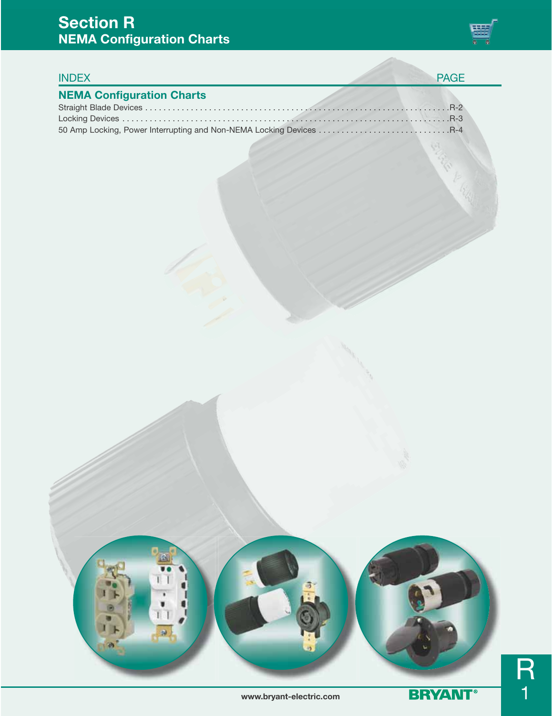### **Section R NEMA Configuration Charts**



### INDEX PAGE

### **NEMA Configuration Charts**

| 50 Amp Locking, Power Interrupting and Non-NEMA Locking Devices R-4 |  |
|---------------------------------------------------------------------|--|



R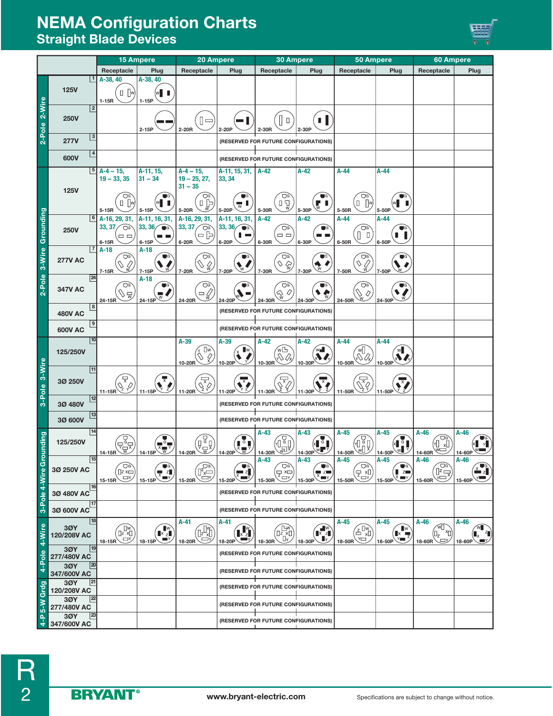## **NEMA Configuration Charts Straight Blade Devices**



|                                      |                    |                | <b>15 Ampere</b>                                                                                                                                                                                                                                                                                                                                                                                                             | 20 Ampere                                                                  |                                                            | <b>30 Ampere</b>                                                                                                                                                                                                                                                               |                                                    | <b>50 Ampere</b>                                              |                                                                                                           | 60 Ampere                                                                                                              |                                                                                    |                                |
|--------------------------------------|--------------------|----------------|------------------------------------------------------------------------------------------------------------------------------------------------------------------------------------------------------------------------------------------------------------------------------------------------------------------------------------------------------------------------------------------------------------------------------|----------------------------------------------------------------------------|------------------------------------------------------------|--------------------------------------------------------------------------------------------------------------------------------------------------------------------------------------------------------------------------------------------------------------------------------|----------------------------------------------------|---------------------------------------------------------------|-----------------------------------------------------------------------------------------------------------|------------------------------------------------------------------------------------------------------------------------|------------------------------------------------------------------------------------|--------------------------------|
|                                      |                    |                | Receptacle                                                                                                                                                                                                                                                                                                                                                                                                                   | Plug                                                                       | Receptacle                                                 | Plug                                                                                                                                                                                                                                                                           | Receptacle                                         | Plug                                                          | Receptacle                                                                                                | Plug                                                                                                                   | Receptacle                                                                         | Plug                           |
|                                      | <b>125V</b>        |                | A-38, 40<br>$\Box$ $\Box$<br>$1-15R$                                                                                                                                                                                                                                                                                                                                                                                         | A-38, 40<br>WII<br>$1-15P$                                                 |                                                            |                                                                                                                                                                                                                                                                                |                                                    |                                                               |                                                                                                           |                                                                                                                        |                                                                                    |                                |
| 2-Pole 2-Wire                        | <b>250V</b>        | $\overline{2}$ |                                                                                                                                                                                                                                                                                                                                                                                                                              | $2 - 15P$                                                                  | ∥□<br>2-20R                                                | 2-20P                                                                                                                                                                                                                                                                          | О<br>2-30R                                         | Π<br>2-30P                                                    |                                                                                                           |                                                                                                                        |                                                                                    |                                |
|                                      | <b>277V</b>        | 3              |                                                                                                                                                                                                                                                                                                                                                                                                                              |                                                                            |                                                            |                                                                                                                                                                                                                                                                                | (RESERVED FOR FUTURE CONFIGURATIONS)               |                                                               |                                                                                                           |                                                                                                                        |                                                                                    |                                |
|                                      | 600V               |                |                                                                                                                                                                                                                                                                                                                                                                                                                              |                                                                            |                                                            |                                                                                                                                                                                                                                                                                | (RESERVED FOR FUTURE CONFIGURATIONS)               |                                                               |                                                                                                           |                                                                                                                        |                                                                                    |                                |
|                                      | <b>125V</b>        |                | $A-4-15$ ,<br>$19 - 33, 35$<br>▽                                                                                                                                                                                                                                                                                                                                                                                             | A-11, 15,<br>$31 - 34$                                                     | $A - 4 - 15$ ,<br>$19 - 25, 27,$<br>$31 - 35$<br>▽         | A-11, 15, 31,<br>33, 34                                                                                                                                                                                                                                                        | $A-42$                                             | A-42                                                          | A-44<br>U                                                                                                 | $A-44$                                                                                                                 |                                                                                    |                                |
|                                      |                    |                | $\Box$ $\Box$<br>$5-15R$<br>A-16, 29, 31,                                                                                                                                                                                                                                                                                                                                                                                    | 5-15P<br>A-11, 16, 31,                                                     | □児<br>5-20R                                                | w<br>5-20P<br>A-11, 16, 31,                                                                                                                                                                                                                                                    | Ōc<br>만있<br>5-30R                                  | 5-30P<br>$A-42$                                               | $\Box$<br>5-50R<br>A-44                                                                                   | 5-50P<br>$A-44$                                                                                                        |                                                                                    |                                |
|                                      | <b>250V</b>        |                | 33, 37<br>ত্ৰ<br>$\Box$ $\Box$<br>6-15R                                                                                                                                                                                                                                                                                                                                                                                      | 33, 36/<br>$\blacksquare$<br>6-15P                                         | A-16, 29, 31,<br>33, 37<br>. Og<br>- 1<br>6-20R            | 33, 36/<br>$\bullet$<br>. .<br>6-20P                                                                                                                                                                                                                                           | $A-42$<br>Ωg<br>$\Box$ $\Box$<br>6-30R             | $\blacksquare$ G<br>6-30P                                     | Ωg<br>$\Box$<br>6-50R                                                                                     | UG<br>6-50P                                                                                                            |                                                                                    |                                |
| 2-Pole 3-Wire Grounding              | <b>277V AC</b>     | 7              | $A-18$<br>Ωg<br>Ì.<br>$7-15R$                                                                                                                                                                                                                                                                                                                                                                                                | $A-18$<br>$\blacksquare$<br>ឃ<br>$7-15P$                                   | UG<br>€<br>7-20R                                           | $\Box$ C<br>w<br>7-20P                                                                                                                                                                                                                                                         | UG<br>$\circ$<br>7-30R                             | Ŵ<br>7-30P                                                    | UG<br>$\overline{\mathcal{L}}$<br>♦<br>7-50R                                                              | 7-50P                                                                                                                  |                                                                                    |                                |
|                                      | <b>347V AC</b>     | 24             | Ωg<br>Ñw<br>24-15R                                                                                                                                                                                                                                                                                                                                                                                                           | A-18<br>$\blacksquare$<br>$\overline{\mathbb{W}}$<br>24-15P                | $\bigcap G$<br>9<br>24-20R                                 | 24-20P                                                                                                                                                                                                                                                                         | $\bigcap G$<br>Ő<br>Sv<br>24-30R                   | 24-30F                                                        | OG<br>0<br>24-50R                                                                                         | 24-50P                                                                                                                 |                                                                                    |                                |
|                                      | <b>480V AC</b>     | 8              |                                                                                                                                                                                                                                                                                                                                                                                                                              |                                                                            |                                                            |                                                                                                                                                                                                                                                                                | (RESERVED FOR FUTURE CONFIGURATIONS)               |                                                               |                                                                                                           |                                                                                                                        |                                                                                    |                                |
|                                      | <b>600V AC</b>     |                |                                                                                                                                                                                                                                                                                                                                                                                                                              |                                                                            |                                                            |                                                                                                                                                                                                                                                                                | (RESERVED FOR FUTURE CONFIGURATIONS)               |                                                               |                                                                                                           |                                                                                                                        |                                                                                    |                                |
|                                      | 125/250V           | 10             |                                                                                                                                                                                                                                                                                                                                                                                                                              |                                                                            | $A-39$<br>∏w<br>$\mathcal{Q}$<br>10-20R                    | $A-39$<br>$\blacksquare$ w<br>10-20P                                                                                                                                                                                                                                           | A-42<br>ŵВ<br>Ñ Q<br>10-30R                        | A-42<br>WH<br>10-30P                                          | A-44<br>MŽ<br>р≫<br>10-50R                                                                                | $A-44$<br>W<br>10-50P                                                                                                  |                                                                                    |                                |
| 3-Pole 3-Wire                        | 3Ø 250V            | 11             | $(\begin{matrix}\overbrace{\nabla^{\mathbf{R}}_{\mathbf{X}}}\nabla_{\mathbf{X}}\\ \nabla_{\mathbf{X}}\nabla_{\mathbf{X}}\nabla_{\mathbf{X}}\nabla_{\mathbf{X}}\nabla_{\mathbf{X}}\nabla_{\mathbf{X}}\nabla_{\mathbf{X}}\nabla_{\mathbf{X}}\nabla_{\mathbf{X}}\nabla_{\mathbf{X}}\nabla_{\mathbf{X}}\nabla_{\mathbf{X}}\nabla_{\mathbf{X}}\nabla_{\mathbf{X}}\nabla_{\mathbf{X}}\nabla_{\mathbf{X}}\nabla_{\math$<br>$11-15R$ | ▼<br>11-15P                                                                | Ş<br>11-20R                                                | 11-20P                                                                                                                                                                                                                                                                         | 11-30R                                             | 11-30P                                                        | 11-50R                                                                                                    | 11-50P                                                                                                                 |                                                                                    |                                |
|                                      | 3Ø 480V            | 12             |                                                                                                                                                                                                                                                                                                                                                                                                                              |                                                                            |                                                            |                                                                                                                                                                                                                                                                                | (RESERVED FOR FUTURE CONFIGURATIONS)               |                                                               |                                                                                                           |                                                                                                                        |                                                                                    |                                |
|                                      | 3Ø 600V            |                |                                                                                                                                                                                                                                                                                                                                                                                                                              |                                                                            |                                                            |                                                                                                                                                                                                                                                                                | (RESERVED FOR FUTURE CONFIGURATIONS)               |                                                               |                                                                                                           |                                                                                                                        |                                                                                    |                                |
| unding                               | 125/250V           |                | <u>dgr</u><br>14-15R                                                                                                                                                                                                                                                                                                                                                                                                         | $\overline{\mathbb{X}}$ $\overline{\mathbb{Y}}$<br>14-15P                  | $\begin{pmatrix} 0 \\ 0 \\ 0 \\ 0 \end{pmatrix}$<br>14-20R | $\begin{array}{c}\n\sqrt{\left(\frac{1}{2}\right)} \\ \hline\n14-20P\n\end{array}$                                                                                                                                                                                             | A-43<br>491<br>迦<br>14-30R                         | A-43<br><b>x</b> G I<br>14-30P                                | $A-45$<br>$\begin{array}{c} \mathbb{E}_{\mathbb{Q}_p} \\ \mathbb{E}_{\mathbb{Q}_p} \end{array}$<br>14-50R | $A-45$<br>$\ltimes \prod_{\forall j} \bigoplus_{\alpha} \ \bigoplus$<br>14-50P W                                       | $A-46$<br>Οç<br>0× [M<br>14-60R                                                    | $A-46$<br>I Y<br>14-60P        |
| 3-Pole 4-Wire Gro                    | 30 250V AC         | 15             | $\Omega$<br>$\Box$ z x $\Box$<br>шY,<br>15-15R                                                                                                                                                                                                                                                                                                                                                                               | $\blacksquare$ G<br>$\frac{1}{x}$ z<br>$\blacksquare$<br>15-15P            | ि<br>प्रि⊟<br>15-20R                                       | $\blacksquare$<br>$\blacksquare$ z<br>e de la partie de la partie de la partie de la partie de la partie de la partie de la partie de la partie de la partie de la partie de la partie de la partie de la partie de la partie de la partie de la partie de la partie<br>15-20P | $A-43$<br>Ωg<br>$\overline{z}$ x=<br>OY,<br>15-30R | $A-43$<br>$\blacksquare$<br>$\Box$ $Z$<br><b>EX</b><br>15-30P | A-45<br>Ωg<br>문 제<br><sup>서</sup> 구<br>15-50R                                                             | $A-45$<br>$\blacksquare$<br>$\blacksquare$ $\blacksquare$<br>X IIIY<br>15-50P                                          | $A-46$<br>$\widehat{\mathbb{P}}$<br>Y<br>15-60R                                    | $A-46$<br>$\sum_{z}$<br>15-60P |
|                                      | 30 480V AC         | 16             |                                                                                                                                                                                                                                                                                                                                                                                                                              |                                                                            |                                                            |                                                                                                                                                                                                                                                                                | (RESERVED FOR FUTURE CONFIGURATIONS)               |                                                               |                                                                                                           |                                                                                                                        |                                                                                    |                                |
|                                      | 30 600V AC         |                |                                                                                                                                                                                                                                                                                                                                                                                                                              |                                                                            |                                                            |                                                                                                                                                                                                                                                                                | (RESERVED FOR FUTURE CONFIGURATIONS)               |                                                               |                                                                                                           |                                                                                                                        |                                                                                    |                                |
| 4-Pole 4-Wire                        | 3ØY<br>120/208V AC | 18             | 俞<br>ΠY,<br>18-15R                                                                                                                                                                                                                                                                                                                                                                                                           | $\begin{bmatrix} \mathbb{N} \\ \mathbb{N} \end{bmatrix}$<br>U)<br>$18-15P$ | A-41<br>rW<br>ΠY<br>18-20R                                 | A-41<br>$\mathbf{R}^{\mathbf{w}}$<br>18-20P                                                                                                                                                                                                                                    | 燄<br>Шv,<br>18-30R                                 | $\mathbb{R}^{\mathbb{N}}$<br>LV,<br>18-30P                    | A-45<br>$\widehat{\Xi^{[w]}}$<br>V⊟.<br>18-50R                                                            | $A-45$<br>$\blacksquare$<br>$\begin{matrix} \mathbb{R} & \mathbb{R} \\ \mathbb{R} & \mathbb{R} \end{matrix}$<br>18-50P | $A-46$<br>$\widehat{\mathbb{W}_{\mathbb{Z}}^{(n)}}$<br>$(\Box_z)$<br>∕ت⊟<br>18-60R | A-46<br>18-60P                 |
|                                      | 3ØY<br>277/480V AC | 19             |                                                                                                                                                                                                                                                                                                                                                                                                                              |                                                                            |                                                            |                                                                                                                                                                                                                                                                                | (RESERVED FOR FUTURE CONFIGURATIONS)               |                                                               |                                                                                                           |                                                                                                                        |                                                                                    |                                |
|                                      | 3ØY<br>347/600V AC | $\sqrt{20}$    |                                                                                                                                                                                                                                                                                                                                                                                                                              |                                                                            |                                                            |                                                                                                                                                                                                                                                                                | (RESERVED FOR FUTURE CONFIGURATIONS)               |                                                               |                                                                                                           |                                                                                                                        |                                                                                    |                                |
|                                      | 3ØY<br>120/208V AC | $^{21}$        |                                                                                                                                                                                                                                                                                                                                                                                                                              |                                                                            |                                                            |                                                                                                                                                                                                                                                                                | (RESERVED FOR FUTURE CONFIGURATIONS)               |                                                               |                                                                                                           |                                                                                                                        |                                                                                    |                                |
| 5-W Grdg                             | 3ØY<br>277/480V AC | $^{22}$        |                                                                                                                                                                                                                                                                                                                                                                                                                              |                                                                            |                                                            |                                                                                                                                                                                                                                                                                | (RESERVED FOR FUTURE CONFIGURATIONS)               |                                                               |                                                                                                           |                                                                                                                        |                                                                                    |                                |
| $\mathbf{a}$<br>$\frac{1}{\sqrt{2}}$ | 3ØY<br>347/600V AC | 23             |                                                                                                                                                                                                                                                                                                                                                                                                                              |                                                                            |                                                            |                                                                                                                                                                                                                                                                                | (RESERVED FOR FUTURE CONFIGURATIONS)               |                                                               |                                                                                                           |                                                                                                                        |                                                                                    |                                |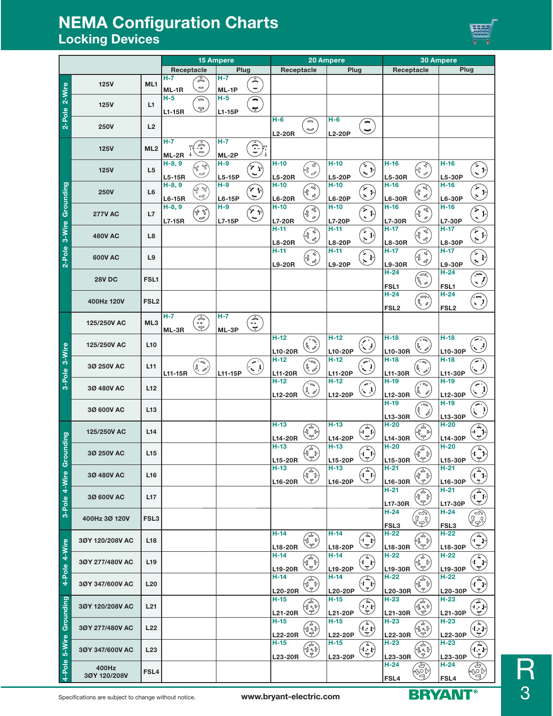# **NEMA Configuration Charts Locking Devices**



|                         |                 |                  |               |                                                                                                                                                                                                                                                                                                                                                     | <b>15 Ampere</b> |                                                                         | 20 Ampere             |                                                                                                            | <b>30 Ampere</b>        |                                                                      |                   |                                                                                                                                                                                                                                                                                                                                                                                                                                          |                         |                                                                                                               |
|-------------------------|-----------------|------------------|---------------|-----------------------------------------------------------------------------------------------------------------------------------------------------------------------------------------------------------------------------------------------------------------------------------------------------------------------------------------------------|------------------|-------------------------------------------------------------------------|-----------------------|------------------------------------------------------------------------------------------------------------|-------------------------|----------------------------------------------------------------------|-------------------|------------------------------------------------------------------------------------------------------------------------------------------------------------------------------------------------------------------------------------------------------------------------------------------------------------------------------------------------------------------------------------------------------------------------------------------|-------------------------|---------------------------------------------------------------------------------------------------------------|
|                         |                 |                  |               | Receptacle                                                                                                                                                                                                                                                                                                                                          | Plug             |                                                                         | Receptacle            |                                                                                                            | Plug                    |                                                                      | Receptacle        |                                                                                                                                                                                                                                                                                                                                                                                                                                          | Plug                    |                                                                                                               |
|                         |                 |                  | $H - 7$       | A                                                                                                                                                                                                                                                                                                                                                   | H-7              | $\mathbb{R}$                                                            |                       |                                                                                                            |                         |                                                                      |                   |                                                                                                                                                                                                                                                                                                                                                                                                                                          |                         |                                                                                                               |
| 2-Pole 2-Wire           | <b>125V</b>     | ML1              | ML-1R         | $\frac{a}{c}$                                                                                                                                                                                                                                                                                                                                       | ML-1P            | $\overline{\phantom{a}}$                                                |                       |                                                                                                            |                         |                                                                      |                   |                                                                                                                                                                                                                                                                                                                                                                                                                                          |                         |                                                                                                               |
|                         |                 |                  | $H-5$         | ଛ                                                                                                                                                                                                                                                                                                                                                   | $H-5$            | $\overline{\phantom{0}}$                                                |                       |                                                                                                            |                         |                                                                      |                   |                                                                                                                                                                                                                                                                                                                                                                                                                                          |                         |                                                                                                               |
|                         | <b>125V</b>     | L1               | L1-15R        | $\mathbb{R}$                                                                                                                                                                                                                                                                                                                                        | $L1-15P$         | $\tilde{\mathbf{z}}$                                                    |                       |                                                                                                            |                         |                                                                      |                   |                                                                                                                                                                                                                                                                                                                                                                                                                                          |                         |                                                                                                               |
|                         |                 |                  |               |                                                                                                                                                                                                                                                                                                                                                     |                  |                                                                         | $H-6$                 | $\Rightarrow$                                                                                              | $H-6$                   | $\blacksquare$                                                       |                   |                                                                                                                                                                                                                                                                                                                                                                                                                                          |                         |                                                                                                               |
|                         | <b>250V</b>     | L2               |               |                                                                                                                                                                                                                                                                                                                                                     |                  |                                                                         |                       | $\sim$                                                                                                     |                         | $\overline{\mathbf{v}}$                                              |                   |                                                                                                                                                                                                                                                                                                                                                                                                                                          |                         |                                                                                                               |
|                         |                 |                  | $H - 7$       |                                                                                                                                                                                                                                                                                                                                                     | $H - 7$          |                                                                         | <b>L2-20R</b>         |                                                                                                            | <b>L2-20P</b>           |                                                                      |                   |                                                                                                                                                                                                                                                                                                                                                                                                                                          |                         |                                                                                                               |
|                         | <b>125V</b>     | ML <sub>2</sub>  |               | $\begin{pmatrix} 1 \ 0 \end{pmatrix}$                                                                                                                                                                                                                                                                                                               |                  | $\left(\cdot,\right)$                                                   |                       |                                                                                                            |                         |                                                                      |                   |                                                                                                                                                                                                                                                                                                                                                                                                                                          |                         |                                                                                                               |
|                         |                 |                  | ML-2R         | ÷                                                                                                                                                                                                                                                                                                                                                   | ML-2P            |                                                                         |                       |                                                                                                            |                         |                                                                      |                   |                                                                                                                                                                                                                                                                                                                                                                                                                                          |                         |                                                                                                               |
|                         | <b>125V</b>     | L <sub>5</sub>   | $H-8, 9$      | $\begin{picture}(22,10) \put(0,0){\line(1,0){10}} \put(15,0){\line(1,0){10}} \put(15,0){\line(1,0){10}} \put(15,0){\line(1,0){10}} \put(15,0){\line(1,0){10}} \put(15,0){\line(1,0){10}} \put(15,0){\line(1,0){10}} \put(15,0){\line(1,0){10}} \put(15,0){\line(1,0){10}} \put(15,0){\line(1,0){10}} \put(15,0){\line(1,0){10}} \put(15,0){\line(1$ | $H-9$            | $\mathcal{J}_{\mathcal{P}}$                                             | $H-10$                | $e_{\!\scriptscriptstyle (\!\chi\!)}^{\!\scriptscriptstyle (\!\chi\!)}$<br>GP)                             | $H-10$                  | $\bigodot$                                                           | H-16              | <b>CERN</b>                                                                                                                                                                                                                                                                                                                                                                                                                              | $H-16$                  | $\left( \begin{array}{c} \circ \\ \circ \end{array} \right)$                                                  |
|                         |                 |                  | L5-15R        | ಲ                                                                                                                                                                                                                                                                                                                                                   | $L5-15P$         | $\breve{~}$                                                             | <b>L5-20R</b>         | 2                                                                                                          | L5-20P                  |                                                                      | L5-30R            |                                                                                                                                                                                                                                                                                                                                                                                                                                          | L5-30P                  |                                                                                                               |
|                         |                 |                  | $H-8, 9$      | W, Az                                                                                                                                                                                                                                                                                                                                               | $H-9$            | $\mathcal{C} \setminus \mathcal{C}$                                     | $H-10$                | $\prec$                                                                                                    | $H-10$                  |                                                                      | H-16              | $\widehat{\mathcal{P}}_{\text{op}}$                                                                                                                                                                                                                                                                                                                                                                                                      | H-16                    |                                                                                                               |
|                         | <b>250V</b>     | L <sub>6</sub>   | L6-15R        | S                                                                                                                                                                                                                                                                                                                                                   | L6-15P           | $\tilde{\mathbf{z}}$                                                    | <b>L6-20R</b>         | GP)<br>$\mathcal{L}$                                                                                       | L6-20P                  | $\sum_{i=1}^{n}$                                                     | L6-30R            | $\mathscr{L}$                                                                                                                                                                                                                                                                                                                                                                                                                            | <b>L6-30P</b>           | بم<br>پر<br>$\mathbf{v}$                                                                                      |
|                         |                 |                  | H-8, 9        |                                                                                                                                                                                                                                                                                                                                                     | $H-9$            |                                                                         | H-10                  | B                                                                                                          | $H-10$                  |                                                                      | H-16              | B                                                                                                                                                                                                                                                                                                                                                                                                                                        | H-16                    |                                                                                                               |
|                         | <b>277V AC</b>  | L7               | <b>L7-15R</b> | (v ),<br>ಅ                                                                                                                                                                                                                                                                                                                                          | L7-15P           | $\mathcal{L}$ Jg<br>$\overline{\phantom{0}}$                            | <b>L7-20R</b>         | (o(f<br>$\circ$                                                                                            | <b>L7-20P</b>           | انچ<br>م<br>$\mathbf{I}$                                             | <b>L7-30R</b>     | (%)<br>$\tilde{\mathcal{L}}$                                                                                                                                                                                                                                                                                                                                                                                                             | <b>L7-30P</b>           | پمبر<br>م<br>$\mathbf{I}^{\circ}$                                                                             |
|                         |                 |                  |               |                                                                                                                                                                                                                                                                                                                                                     |                  |                                                                         | H-11                  |                                                                                                            | $H-11$                  |                                                                      | $H-17$            |                                                                                                                                                                                                                                                                                                                                                                                                                                          | $H-17$                  |                                                                                                               |
|                         | <b>480V AC</b>  | L8               |               |                                                                                                                                                                                                                                                                                                                                                     |                  |                                                                         |                       | E C                                                                                                        |                         | وهمي<br>مراجع                                                        |                   | $\begin{pmatrix} \sqrt{2} & \sqrt{10} \\ \sqrt{10} & \sqrt{10} \end{pmatrix}$<br>Ľ                                                                                                                                                                                                                                                                                                                                                       |                         | $\sum_{i=1}^{\infty}$                                                                                         |
|                         |                 |                  |               |                                                                                                                                                                                                                                                                                                                                                     |                  |                                                                         | <b>L8-20R</b><br>H-11 |                                                                                                            | <b>L8-20P</b><br>$H-11$ |                                                                      | L8-30R<br>$H-17$  |                                                                                                                                                                                                                                                                                                                                                                                                                                          | <b>L8-30P</b><br>$H-17$ |                                                                                                               |
| 2-Pole 3-Wire Grounding | 600V AC         | L9               |               |                                                                                                                                                                                                                                                                                                                                                     |                  |                                                                         |                       | (1 \$                                                                                                      |                         | $\begin{pmatrix} 1 \ 1 \end{pmatrix}$                                |                   | E C                                                                                                                                                                                                                                                                                                                                                                                                                                      |                         | ر<br>پر<br>$\mathbf{l}^{\circ}$                                                                               |
|                         |                 |                  |               |                                                                                                                                                                                                                                                                                                                                                     |                  |                                                                         | <b>L9-20R</b>         |                                                                                                            | L9-20P                  |                                                                      | <b>L9-30R</b>     |                                                                                                                                                                                                                                                                                                                                                                                                                                          | <b>L9-30P</b>           |                                                                                                               |
|                         | <b>28V DC</b>   | FSL1             |               |                                                                                                                                                                                                                                                                                                                                                     |                  |                                                                         |                       |                                                                                                            |                         |                                                                      | $H-24$            | $\widehat{=}$                                                                                                                                                                                                                                                                                                                                                                                                                            | $H-24$                  | $\bigodot$                                                                                                    |
|                         |                 |                  |               |                                                                                                                                                                                                                                                                                                                                                     |                  |                                                                         |                       |                                                                                                            |                         |                                                                      | FSL1              | $\widehat{\mathbb{Z}}$                                                                                                                                                                                                                                                                                                                                                                                                                   | FSL1                    |                                                                                                               |
|                         |                 |                  |               |                                                                                                                                                                                                                                                                                                                                                     |                  |                                                                         |                       |                                                                                                            |                         |                                                                      | $H-24$            | لاھڪ<br>م                                                                                                                                                                                                                                                                                                                                                                                                                                | H-24                    |                                                                                                               |
|                         | 400Hz 120V      | FSL <sub>2</sub> |               |                                                                                                                                                                                                                                                                                                                                                     |                  |                                                                         |                       |                                                                                                            |                         |                                                                      | FSL2              | $\sqrt[n]{\circ}$                                                                                                                                                                                                                                                                                                                                                                                                                        | FSL <sub>2</sub>        | $\left(\begin{smallmatrix} 1\\ 1\\1\end{smallmatrix}\right)$                                                  |
|                         |                 |                  | $H - 7$       |                                                                                                                                                                                                                                                                                                                                                     | $H - 7$          |                                                                         |                       |                                                                                                            |                         |                                                                      |                   |                                                                                                                                                                                                                                                                                                                                                                                                                                          |                         |                                                                                                               |
|                         | 125/250V AC     | ML3              | ML-3R         | $\left\langle \begin{matrix} 0 \\ 0 \end{matrix} \right\rangle$                                                                                                                                                                                                                                                                                     | ML-3P            | $\left\langle \boldsymbol{\cdot}^{\ast}\boldsymbol{\cdot}\right\rangle$ |                       |                                                                                                            |                         |                                                                      |                   |                                                                                                                                                                                                                                                                                                                                                                                                                                          |                         |                                                                                                               |
|                         |                 |                  |               |                                                                                                                                                                                                                                                                                                                                                     |                  |                                                                         | $H-12$                |                                                                                                            | $H-12$                  |                                                                      | $H-18$            | √ ∝َ                                                                                                                                                                                                                                                                                                                                                                                                                                     | $H-18$                  |                                                                                                               |
|                         | 125/250V AC     | L <sub>10</sub>  |               |                                                                                                                                                                                                                                                                                                                                                     |                  |                                                                         |                       | لوي<br>فره بي                                                                                              |                         | $\begin{pmatrix} 1 \\ 1 \end{pmatrix}$                               |                   | $\begin{pmatrix} \beta_{\nu} & \beta_{\nu} \\ \beta_{\nu} & \beta_{\nu} \end{pmatrix}$                                                                                                                                                                                                                                                                                                                                                   |                         | لىيى:                                                                                                         |
| 3-Pole 3-Wire           |                 |                  |               |                                                                                                                                                                                                                                                                                                                                                     |                  |                                                                         | L10-20R<br>$H-12$     |                                                                                                            | L10-20P<br>$H-12$       |                                                                      | L10-30R<br>$H-18$ |                                                                                                                                                                                                                                                                                                                                                                                                                                          | L10-30P<br>H-18         |                                                                                                               |
|                         | 30 250V AC      | L11              |               | $\Rightarrow$<br>$\bigvee_{i=1}^n \mathbb{Z}^2$                                                                                                                                                                                                                                                                                                     |                  | $\mathbb{C}$                                                            |                       | 'N<br>$\bigvee_\times^\mathsf{g} \mathcal{L}$                                                              |                         | $\bigodot$                                                           |                   | 河<br>$\begin{pmatrix} 0 & 0 \\ 0 & 0 \end{pmatrix}$                                                                                                                                                                                                                                                                                                                                                                                      |                         | رابو پا                                                                                                       |
|                         |                 |                  | L11-15R       |                                                                                                                                                                                                                                                                                                                                                     | L11-15P          |                                                                         | L11-20R               |                                                                                                            | L11-20P                 |                                                                      | L11-30R           |                                                                                                                                                                                                                                                                                                                                                                                                                                          | L11-30P                 |                                                                                                               |
|                         | 30 480V AC      | L12              |               |                                                                                                                                                                                                                                                                                                                                                     |                  |                                                                         | $H-12$                | '                                                                                                          | $H-12$                  | پېښت                                                                 | H-19              | د ∝َ                                                                                                                                                                                                                                                                                                                                                                                                                                     | $H-19$                  | $\mathbf{y}$                                                                                                  |
|                         |                 |                  |               |                                                                                                                                                                                                                                                                                                                                                     |                  |                                                                         | L12-20R               | $\begin{smallmatrix} & & & & & \ & \mathbf{0}_x & \mathbf{0}_y & \mathbf{0}_y \end{smallmatrix}$           | L12-20P                 | $\left\langle \cdot \right\rangle$                                   | L12-30R           | $\begin{pmatrix} \begin{smallmatrix} 0 & \mathbf{0} & \mathbf{0} & \mathbf{0} & \mathbf{0} & \mathbf{0} & \mathbf{0} & \mathbf{0} & \mathbf{0} & \mathbf{0} & \mathbf{0} & \mathbf{0} & \mathbf{0} & \mathbf{0} & \mathbf{0} & \mathbf{0} & \mathbf{0} & \mathbf{0} & \mathbf{0} & \mathbf{0} & \mathbf{0} & \mathbf{0} & \mathbf{0} & \mathbf{0} & \mathbf{0} & \mathbf{0} & \mathbf{0} & \mathbf{0} & \mathbf{0} & \mathbf{0} & \math$ | L12-30P                 | $\mathbf{z}_{\infty}$                                                                                         |
|                         | 30 600V AC      | L <sub>13</sub>  |               |                                                                                                                                                                                                                                                                                                                                                     |                  |                                                                         |                       |                                                                                                            |                         |                                                                      | $H-19$            | Ŵ<br>Î                                                                                                                                                                                                                                                                                                                                                                                                                                   | $H-19$                  | $\widehat{\widetilde{\zeta}}$<br>$\frac{1}{x}$                                                                |
|                         |                 |                  |               |                                                                                                                                                                                                                                                                                                                                                     |                  |                                                                         |                       |                                                                                                            |                         |                                                                      | L13-30R           | $\tilde{\mathscr{Y}}$                                                                                                                                                                                                                                                                                                                                                                                                                    | L13-30P                 |                                                                                                               |
|                         |                 |                  |               |                                                                                                                                                                                                                                                                                                                                                     |                  |                                                                         | $H-13$                |                                                                                                            | $H-13$                  |                                                                      | $H-20$            |                                                                                                                                                                                                                                                                                                                                                                                                                                          | $H-20$                  | $\begin{pmatrix} \widehat{\mathcal{L}} \\ \underbrace{\mathcal{L}} \\ \underbrace{\mathcal{L}} \end{pmatrix}$ |
| puipuno                 | 125/250V AC     | L14              |               |                                                                                                                                                                                                                                                                                                                                                     |                  |                                                                         | L14-20R               | $\begin{pmatrix} 1 \\ 0 \\ -1 \end{pmatrix}$                                                               | L14-20P                 | $\widehat{\mathbf{r}}$                                               | L14-30R           | $\begin{pmatrix} \overbrace{\mathbf{r}^{\mathbf{a}}_{\mathbf{b}}}^{\mathbf{b}_{\mathbf{b}}} \mathbf{0}_{\mathbf{b}} \\ \overbrace{\mathbf{r}^{\mathbf{b}}_{\mathbf{b}}}^{\mathbf{b}_{\mathbf{b}}} \end{pmatrix}$                                                                                                                                                                                                                         | L14-30P                 |                                                                                                               |
|                         |                 |                  |               |                                                                                                                                                                                                                                                                                                                                                     |                  |                                                                         | H-13                  |                                                                                                            | $H-13$                  |                                                                      | $H-20$            |                                                                                                                                                                                                                                                                                                                                                                                                                                          | $H-20$                  |                                                                                                               |
|                         | 30 250V AC      | L15              |               |                                                                                                                                                                                                                                                                                                                                                     |                  |                                                                         |                       | $\begin{pmatrix} \overbrace{\mathbf{0}} & \mathbf{0} \\ \overbrace{\mathbf{0}} & \mathbf{0} \end{pmatrix}$ |                         | $\begin{pmatrix} \overbrace{\mathbf{r}} \\ \mathbf{r} \end{pmatrix}$ |                   | $\begin{pmatrix} \mathbf{1} & \mathbf{1} & \mathbf{1} & \mathbf{1} & \mathbf{1} & \mathbf{1} & \mathbf{1} & \mathbf{1} & \mathbf{1} & \mathbf{1} & \mathbf{1} & \mathbf{1} & \mathbf{1} & \mathbf{1} & \mathbf{1} & \mathbf{1} & \mathbf{1} & \mathbf{1} & \mathbf{1} & \mathbf{1} & \mathbf{1} & \mathbf{1} & \mathbf{1} & \mathbf{1} & \mathbf{1} & \mathbf{1} & \mathbf{1} & \mathbf{1} & \mathbf{1} & \mathbf{1} & \mathbf{$         |                         | $\widehat{(\mathbf{C})}$<br>ت                                                                                 |
| ō                       |                 |                  |               |                                                                                                                                                                                                                                                                                                                                                     |                  |                                                                         | L15-20R<br>H-13       |                                                                                                            | L15-20P<br>$H-13$       |                                                                      | L15-30R<br>H-21   |                                                                                                                                                                                                                                                                                                                                                                                                                                          | L15-30P<br>$H-21$       |                                                                                                               |
|                         | 3Ø 480V AC      | L16              |               |                                                                                                                                                                                                                                                                                                                                                     |                  |                                                                         |                       | $\begin{pmatrix} \overline{a} \\ \overline{b} \\ \overline{c} \end{pmatrix}$                               |                         | $\widehat{\mathbf{G}}$                                               |                   | $\begin{pmatrix} \widehat{\mathcal{C}} & \widehat{\mathcal{C}} \\ \widehat{\mathcal{C}} & \widehat{\mathcal{C}} \end{pmatrix}$                                                                                                                                                                                                                                                                                                           |                         | $\widehat{\mathbf{G}}$                                                                                        |
|                         |                 |                  |               |                                                                                                                                                                                                                                                                                                                                                     |                  |                                                                         | L16-20R               |                                                                                                            | L16-20P                 |                                                                      | L16-30R<br>H-21   |                                                                                                                                                                                                                                                                                                                                                                                                                                          | L16-30P<br>H-21         | こ                                                                                                             |
|                         | 30 600V AC      | L <sub>17</sub>  |               |                                                                                                                                                                                                                                                                                                                                                     |                  |                                                                         |                       |                                                                                                            |                         |                                                                      |                   | ☎<br>(oN Do                                                                                                                                                                                                                                                                                                                                                                                                                              |                         | $\widehat{\mathbf{f}}$                                                                                        |
| 3-Pole 4-Wire           |                 |                  |               |                                                                                                                                                                                                                                                                                                                                                     |                  |                                                                         |                       |                                                                                                            |                         |                                                                      | L17-30R<br>H-24   | ن<br>ح                                                                                                                                                                                                                                                                                                                                                                                                                                   | L17-30P<br>$H-24$       | 芝                                                                                                             |
|                         | 400Hz 3Ø 120V   | FSL3             |               |                                                                                                                                                                                                                                                                                                                                                     |                  |                                                                         |                       |                                                                                                            |                         |                                                                      |                   | ั⇔×ิ<br>838                                                                                                                                                                                                                                                                                                                                                                                                                              |                         | $\widehat{\mathbb{C}}$                                                                                        |
|                         |                 |                  |               |                                                                                                                                                                                                                                                                                                                                                     |                  |                                                                         |                       |                                                                                                            |                         |                                                                      | FSL3              |                                                                                                                                                                                                                                                                                                                                                                                                                                          | FSL3                    |                                                                                                               |
|                         | 3ØY 120/208V AC | L <sub>18</sub>  |               |                                                                                                                                                                                                                                                                                                                                                     |                  |                                                                         | $H-14$                | $\begin{pmatrix} 1 \\ 0 \\ 1 \end{pmatrix}$                                                                | $H-14$                  | $\widehat{\mathcal{F}}$                                              | $H-22$            | $\begin{pmatrix} \mathbf{1} & \mathbf{1} & \mathbf{1} \\ \mathbf{1} & \mathbf{1} & \mathbf{1} \\ \mathbf{1} & \mathbf{1} & \mathbf{1} \end{pmatrix}$                                                                                                                                                                                                                                                                                     | $H-22$                  | $\widehat{\mathcal{F}}$                                                                                       |
| Pole 4-Wire             |                 |                  |               |                                                                                                                                                                                                                                                                                                                                                     |                  |                                                                         | L18-20R               |                                                                                                            | L18-20P                 | こ                                                                    | L18-30R           |                                                                                                                                                                                                                                                                                                                                                                                                                                          | L18-30P                 | こ                                                                                                             |
|                         |                 |                  |               |                                                                                                                                                                                                                                                                                                                                                     |                  |                                                                         | H-14                  |                                                                                                            | H-14                    |                                                                      | H-22              |                                                                                                                                                                                                                                                                                                                                                                                                                                          | H-22                    | $\widehat{\mathbb{C}}$                                                                                        |
|                         | 30Y 277/480V AC | L <sub>19</sub>  |               |                                                                                                                                                                                                                                                                                                                                                     |                  |                                                                         | L19-20R               | $\begin{pmatrix} 1 \\ 0 \\ 1 \end{pmatrix}$                                                                | L19-20P                 | $\begin{pmatrix} 1 \\ -1 \end{pmatrix}$                              | L19-30R           | $\begin{pmatrix} \mathbf{1} & \mathbf{1} & \mathbf{1} \\ \mathbf{1} & \mathbf{1} & \mathbf{1} \\ \mathbf{1} & \mathbf{1} & \mathbf{1} \end{pmatrix}$                                                                                                                                                                                                                                                                                     | L19-30P                 | 芝                                                                                                             |
|                         |                 |                  |               |                                                                                                                                                                                                                                                                                                                                                     |                  |                                                                         | H-14                  |                                                                                                            | H-14                    |                                                                      | H-22              |                                                                                                                                                                                                                                                                                                                                                                                                                                          | H-22                    |                                                                                                               |
| $\frac{1}{4}$           | 30Y 347/600V AC | L <sub>20</sub>  |               |                                                                                                                                                                                                                                                                                                                                                     |                  |                                                                         |                       | (Ig)                                                                                                       |                         | $\left\langle \uparrow \right\rangle$<br>芝                           |                   | $\begin{pmatrix} \widehat{\mathbf{r}}_{\mathbf{q}} \\ \widehat{\mathbf{r}}_{\mathbf{q}} \end{pmatrix}$                                                                                                                                                                                                                                                                                                                                   |                         | $\widehat{\mathbb{G}}$<br>芝                                                                                   |
|                         |                 |                  |               |                                                                                                                                                                                                                                                                                                                                                     |                  |                                                                         | L20-20R<br>H-15       |                                                                                                            | L20-20P<br>H-15         |                                                                      | L20-30R<br>$H-23$ | ☎                                                                                                                                                                                                                                                                                                                                                                                                                                        | L20-30P<br>$H-23$       |                                                                                                               |
|                         | 3ØY 120/208V AC | L21              |               |                                                                                                                                                                                                                                                                                                                                                     |                  |                                                                         |                       | ′≟<br>(w) 0. Dr                                                                                            |                         | ⊻ta•‡∀<br>ェ                                                          |                   | (w) o <sub>g</sub> Dr                                                                                                                                                                                                                                                                                                                                                                                                                    |                         | $\widehat{\mathbf{G}}$                                                                                        |
|                         |                 |                  |               |                                                                                                                                                                                                                                                                                                                                                     |                  |                                                                         | L21-20R               | 圼                                                                                                          | L21-20P                 |                                                                      | L21-30R           | Z                                                                                                                                                                                                                                                                                                                                                                                                                                        | L21-30P                 | こ                                                                                                             |
| Grounding               | 3ØY 277/480V AC | L <sub>22</sub>  |               |                                                                                                                                                                                                                                                                                                                                                     |                  |                                                                         | H-15                  | é                                                                                                          | H-15                    | الا ق)                                                               | H-23              | Ŧ                                                                                                                                                                                                                                                                                                                                                                                                                                        | H-23                    | $\mathbf{L} \bullet \mathbf{J}$                                                                               |
|                         |                 |                  |               |                                                                                                                                                                                                                                                                                                                                                     |                  |                                                                         | L22-20R               | ١٤٩                                                                                                        | L22-20P                 |                                                                      | L22-30R           | (الأهيما)                                                                                                                                                                                                                                                                                                                                                                                                                                | L22-30P                 |                                                                                                               |
| 5-Wire                  | 3ØY 347/600V AC | L <sub>23</sub>  |               |                                                                                                                                                                                                                                                                                                                                                     |                  |                                                                         | H-15                  | $\begin{pmatrix} \sqrt{\lambda} & 0 \\ 0 & 0 \\ \sqrt{\lambda} & 0 \end{pmatrix}$                          | H-15                    | ¥<br>⊻t⊶r                                                            | H-23              | (To )                                                                                                                                                                                                                                                                                                                                                                                                                                    | $H-23$                  | $\widehat{\mathbb{G}}$                                                                                        |
|                         |                 |                  |               |                                                                                                                                                                                                                                                                                                                                                     |                  |                                                                         | <b>L23-20R</b>        |                                                                                                            | L23-20P                 | こ                                                                    | L23-30R           | 튄                                                                                                                                                                                                                                                                                                                                                                                                                                        | L23-30P                 | 芝                                                                                                             |
| 4-Pole                  | 400Hz           |                  |               |                                                                                                                                                                                                                                                                                                                                                     |                  |                                                                         |                       |                                                                                                            |                         |                                                                      | $H-24$            |                                                                                                                                                                                                                                                                                                                                                                                                                                          | $H-24$                  | $\frac{1}{\sqrt{\frac{1}{2}}\sqrt{\frac{1}{2}}\sqrt{\frac{1}{2}}}}$                                           |
|                         | 3ØY 120/208V    | FSL4             |               |                                                                                                                                                                                                                                                                                                                                                     |                  |                                                                         |                       |                                                                                                            |                         |                                                                      | FSL4              | <b>ASSI</b>                                                                                                                                                                                                                                                                                                                                                                                                                              | FSL4                    |                                                                                                               |
|                         |                 |                  |               |                                                                                                                                                                                                                                                                                                                                                     |                  |                                                                         |                       |                                                                                                            |                         |                                                                      |                   |                                                                                                                                                                                                                                                                                                                                                                                                                                          |                         |                                                                                                               |

Specifications are subject to change without notice. **www.bryant-electric.com 3PAMT**<sup>®</sup>



R<sub>3</sub>